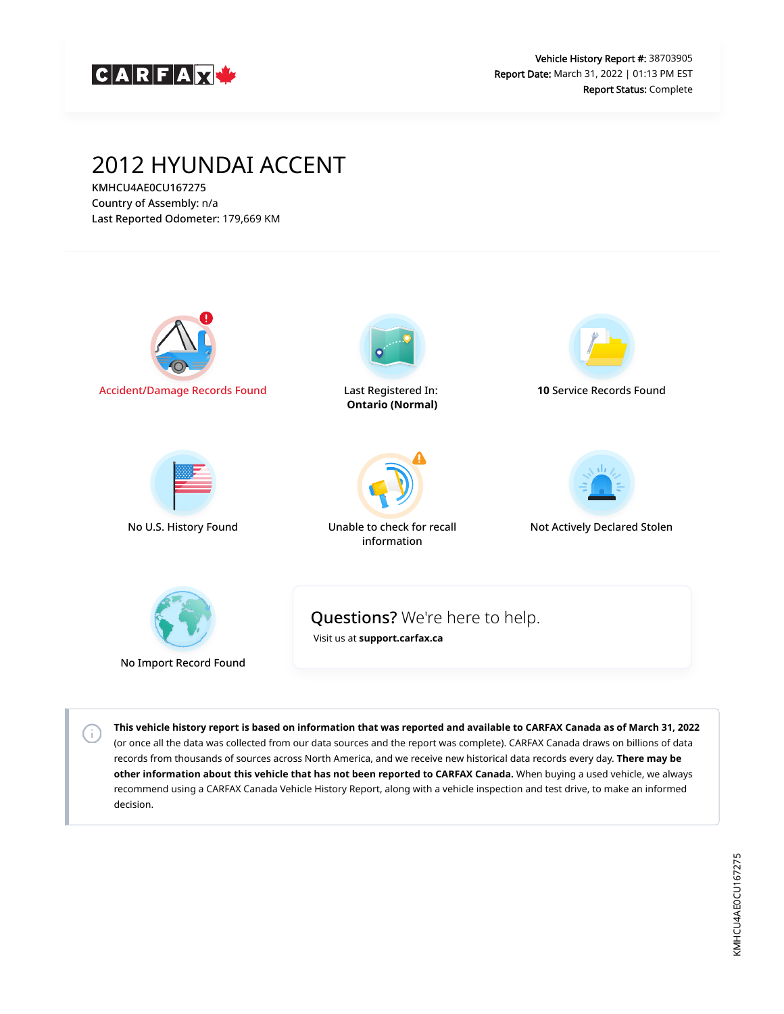

# 2012 HYUNDAI ACCENT

KMHCU4AE0CU167275 Country of Assembly: n/a Last Reported Odometer: 179,669 KM

 $\left( \cdot \right)$ 



**This vehicle history report is based on information that was reported and available to CARFAX Canada as of March 31, 2022** (or once all the data was collected from our data sources and the report was complete). CARFAX Canada draws on billions of data records from thousands of sources across North America, and we receive new historical data records every day. **There may be other information about this vehicle that has not been reported to CARFAX Canada.** When buying a used vehicle, we always recommend using a CARFAX Canada Vehicle History Report, along with a vehicle inspection and test drive, to make an informed decision.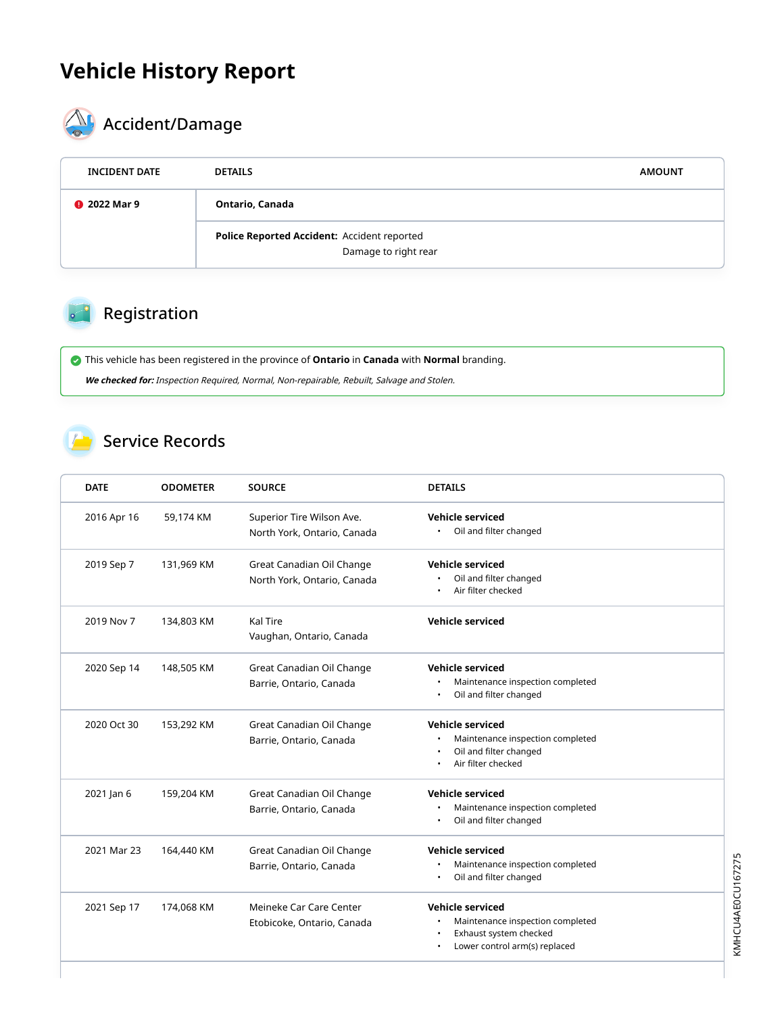# **Vehicle History Report**



# $\begin{matrix} \bigwedge \ \vdots \end{matrix}$  Accident/Damage

| <b>INCIDENT DATE</b> | <b>DETAILS</b>                                                      | <b>AMOUNT</b> |
|----------------------|---------------------------------------------------------------------|---------------|
| <b>@</b> 2022 Mar 9  | Ontario, Canada                                                     |               |
|                      | Police Reported Accident: Accident reported<br>Damage to right rear |               |

## Registration

 This vehicle has been registered in the province of **Ontario** in **Canada** with **Normal** branding. **We checked for:** Inspection Required, Normal, Non-repairable, Rebuilt, Salvage and Stolen.

#### Service Records

| <b>DATE</b> | <b>ODOMETER</b> | <b>SOURCE</b>                                            | <b>DETAILS</b>                                                                                                         |
|-------------|-----------------|----------------------------------------------------------|------------------------------------------------------------------------------------------------------------------------|
| 2016 Apr 16 | 59,174 KM       | Superior Tire Wilson Ave.<br>North York, Ontario, Canada | Vehicle serviced<br>Oil and filter changed<br>$\bullet$                                                                |
| 2019 Sep 7  | 131,969 KM      | Great Canadian Oil Change<br>North York, Ontario, Canada | <b>Vehicle serviced</b><br>Oil and filter changed<br>Air filter checked                                                |
| 2019 Nov 7  | 134,803 KM      | Kal Tire<br>Vaughan, Ontario, Canada                     | Vehicle serviced                                                                                                       |
| 2020 Sep 14 | 148,505 KM      | Great Canadian Oil Change<br>Barrie, Ontario, Canada     | Vehicle serviced<br>Maintenance inspection completed<br>$\bullet$<br>Oil and filter changed<br>٠                       |
| 2020 Oct 30 | 153,292 KM      | Great Canadian Oil Change<br>Barrie, Ontario, Canada     | <b>Vehicle serviced</b><br>Maintenance inspection completed<br>Oil and filter changed<br>Air filter checked            |
| 2021 Jan 6  | 159,204 KM      | Great Canadian Oil Change<br>Barrie, Ontario, Canada     | <b>Vehicle serviced</b><br>Maintenance inspection completed<br>Oil and filter changed                                  |
| 2021 Mar 23 | 164,440 KM      | Great Canadian Oil Change<br>Barrie, Ontario, Canada     | <b>Vehicle serviced</b><br>Maintenance inspection completed<br>٠<br>Oil and filter changed<br>$\bullet$                |
| 2021 Sep 17 | 174,068 KM      | Meineke Car Care Center<br>Etobicoke, Ontario, Canada    | <b>Vehicle serviced</b><br>Maintenance inspection completed<br>Exhaust system checked<br>Lower control arm(s) replaced |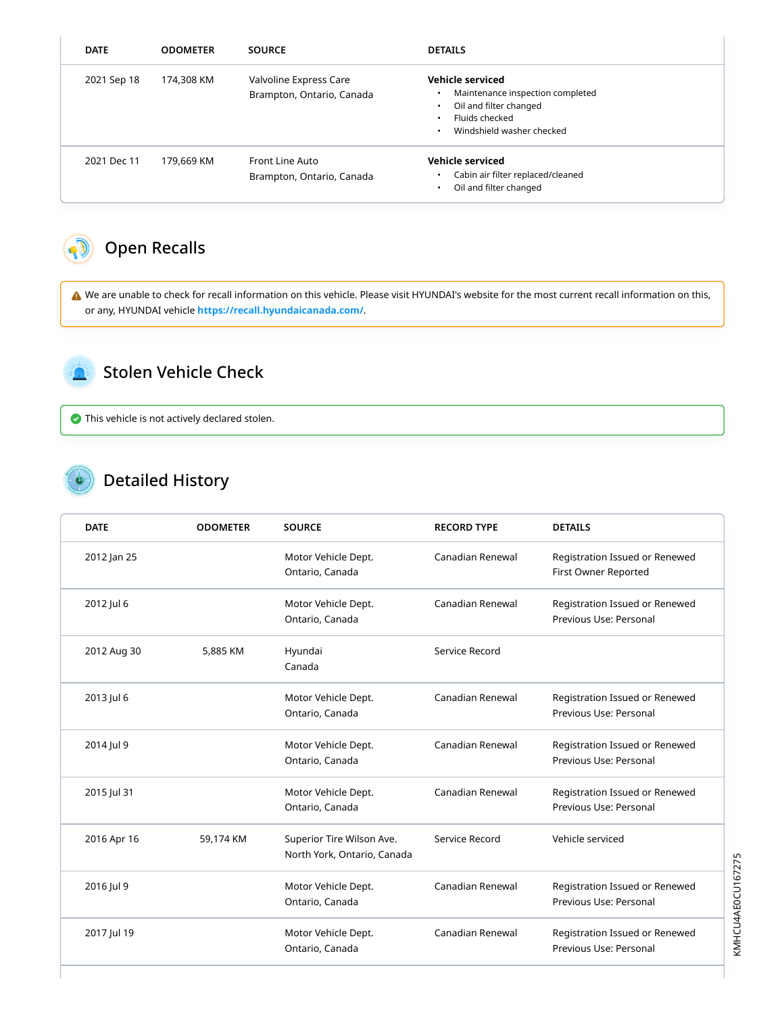| <b>DATE</b> | <b>ODOMETER</b> | <b>SOURCE</b>                                       | <b>DETAILS</b>                                                                                                                |
|-------------|-----------------|-----------------------------------------------------|-------------------------------------------------------------------------------------------------------------------------------|
| 2021 Sep 18 | 174,308 KM      | Valvoline Express Care<br>Brampton, Ontario, Canada | Vehicle serviced<br>Maintenance inspection completed<br>Oil and filter changed<br>Fluids checked<br>Windshield washer checked |
| 2021 Dec 11 | 179,669 KM      | Front Line Auto<br>Brampton, Ontario, Canada        | <b>Vehicle serviced</b><br>Cabin air filter replaced/cleaned<br>Oil and filter changed                                        |

## <span id="page-2-0"></span>Open Recalls

 We are unable to check for recall information on this vehicle. Please visit HYUNDAI's website for the most current recall information on this, or any, HYUNDAI vehicle **<https://recall.hyundaicanada.com/>**.

<span id="page-2-1"></span>

#### Stolen Vehicle Check

This vehicle is not actively declared stolen.

## Detailed History

| <b>DATE</b> | <b>ODOMETER</b> | <b>SOURCE</b>                                            | <b>RECORD TYPE</b> | <b>DETAILS</b>                                           |
|-------------|-----------------|----------------------------------------------------------|--------------------|----------------------------------------------------------|
| 2012 Jan 25 |                 | Motor Vehicle Dept.<br>Ontario, Canada                   | Canadian Renewal   | Registration Issued or Renewed<br>First Owner Reported   |
| 2012 Jul 6  |                 | Motor Vehicle Dept.<br>Ontario, Canada                   | Canadian Renewal   | Registration Issued or Renewed<br>Previous Use: Personal |
| 2012 Aug 30 | 5,885 KM        | Hyundai<br>Canada                                        | Service Record     |                                                          |
| 2013 Jul 6  |                 | Motor Vehicle Dept.<br>Ontario, Canada                   | Canadian Renewal   | Registration Issued or Renewed<br>Previous Use: Personal |
| 2014 Jul 9  |                 | Motor Vehicle Dept.<br>Ontario, Canada                   | Canadian Renewal   | Registration Issued or Renewed<br>Previous Use: Personal |
| 2015 Jul 31 |                 | Motor Vehicle Dept.<br>Ontario, Canada                   | Canadian Renewal   | Registration Issued or Renewed<br>Previous Use: Personal |
| 2016 Apr 16 | 59,174 KM       | Superior Tire Wilson Ave.<br>North York, Ontario, Canada | Service Record     | Vehicle serviced                                         |
| 2016 Jul 9  |                 | Motor Vehicle Dept.<br>Ontario, Canada                   | Canadian Renewal   | Registration Issued or Renewed<br>Previous Use: Personal |
| 2017 Jul 19 |                 | Motor Vehicle Dept.<br>Ontario, Canada                   | Canadian Renewal   | Registration Issued or Renewed<br>Previous Use: Personal |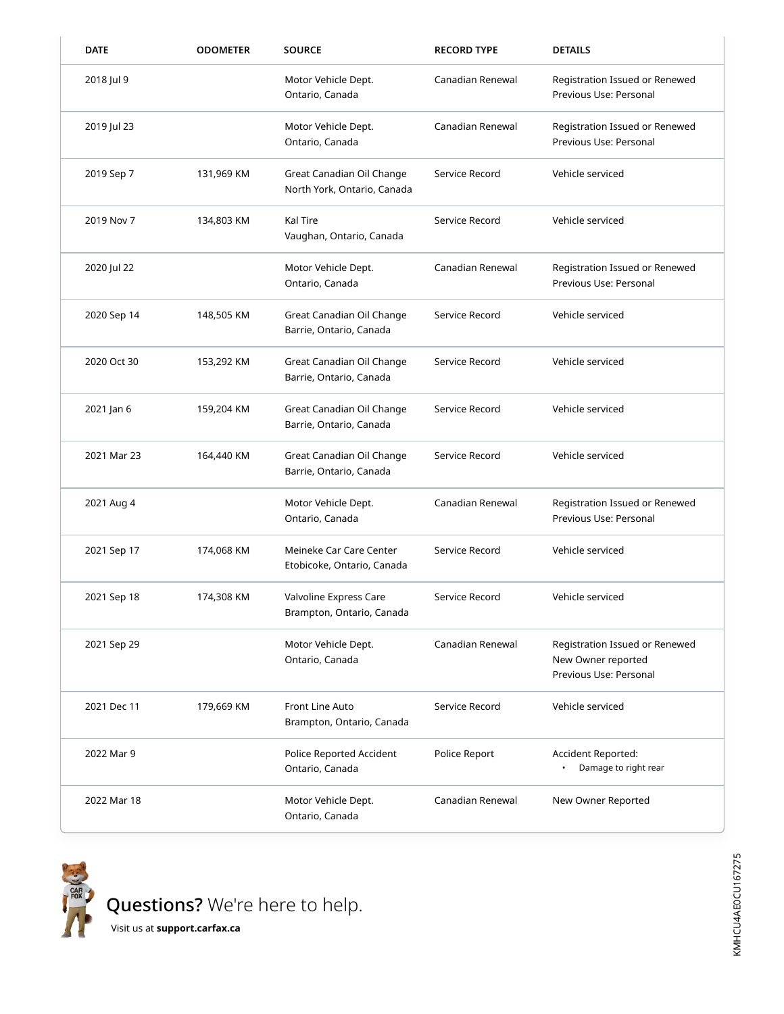| <b>DATE</b> | <b>ODOMETER</b> | <b>SOURCE</b>                                            | <b>RECORD TYPE</b> | <b>DETAILS</b>                                                                 |
|-------------|-----------------|----------------------------------------------------------|--------------------|--------------------------------------------------------------------------------|
| 2018 Jul 9  |                 | Motor Vehicle Dept.<br>Ontario, Canada                   | Canadian Renewal   | Registration Issued or Renewed<br>Previous Use: Personal                       |
| 2019 Jul 23 |                 | Motor Vehicle Dept.<br>Ontario, Canada                   | Canadian Renewal   | Registration Issued or Renewed<br>Previous Use: Personal                       |
| 2019 Sep 7  | 131,969 KM      | Great Canadian Oil Change<br>North York, Ontario, Canada | Service Record     | Vehicle serviced                                                               |
| 2019 Nov 7  | 134,803 KM      | Kal Tire<br>Vaughan, Ontario, Canada                     | Service Record     | Vehicle serviced                                                               |
| 2020 Jul 22 |                 | Motor Vehicle Dept.<br>Ontario, Canada                   | Canadian Renewal   | Registration Issued or Renewed<br>Previous Use: Personal                       |
| 2020 Sep 14 | 148,505 KM      | Great Canadian Oil Change<br>Barrie, Ontario, Canada     | Service Record     | Vehicle serviced                                                               |
| 2020 Oct 30 | 153,292 KM      | Great Canadian Oil Change<br>Barrie, Ontario, Canada     | Service Record     | Vehicle serviced                                                               |
| 2021 Jan 6  | 159,204 KM      | Great Canadian Oil Change<br>Barrie, Ontario, Canada     | Service Record     | Vehicle serviced                                                               |
| 2021 Mar 23 | 164,440 KM      | Great Canadian Oil Change<br>Barrie, Ontario, Canada     | Service Record     | Vehicle serviced                                                               |
| 2021 Aug 4  |                 | Motor Vehicle Dept.<br>Ontario, Canada                   | Canadian Renewal   | Registration Issued or Renewed<br>Previous Use: Personal                       |
| 2021 Sep 17 | 174,068 KM      | Meineke Car Care Center<br>Etobicoke, Ontario, Canada    | Service Record     | Vehicle serviced                                                               |
| 2021 Sep 18 | 174,308 KM      | Valvoline Express Care<br>Brampton, Ontario, Canada      | Service Record     | Vehicle serviced                                                               |
| 2021 Sep 29 |                 | Motor Vehicle Dept.<br>Ontario, Canada                   | Canadian Renewal   | Registration Issued or Renewed<br>New Owner reported<br>Previous Use: Personal |
| 2021 Dec 11 | 179,669 KM      | Front Line Auto<br>Brampton, Ontario, Canada             | Service Record     | Vehicle serviced                                                               |
| 2022 Mar 9  |                 | Police Reported Accident<br>Ontario, Canada              | Police Report      | Accident Reported:<br>Damage to right rear                                     |
| 2022 Mar 18 |                 | Motor Vehicle Dept.<br>Ontario, Canada                   | Canadian Renewal   | New Owner Reported                                                             |



Questions? We're here to help.

Visit us at **[support.carfax.ca](https://support.carfax.ca/en/support/home)**